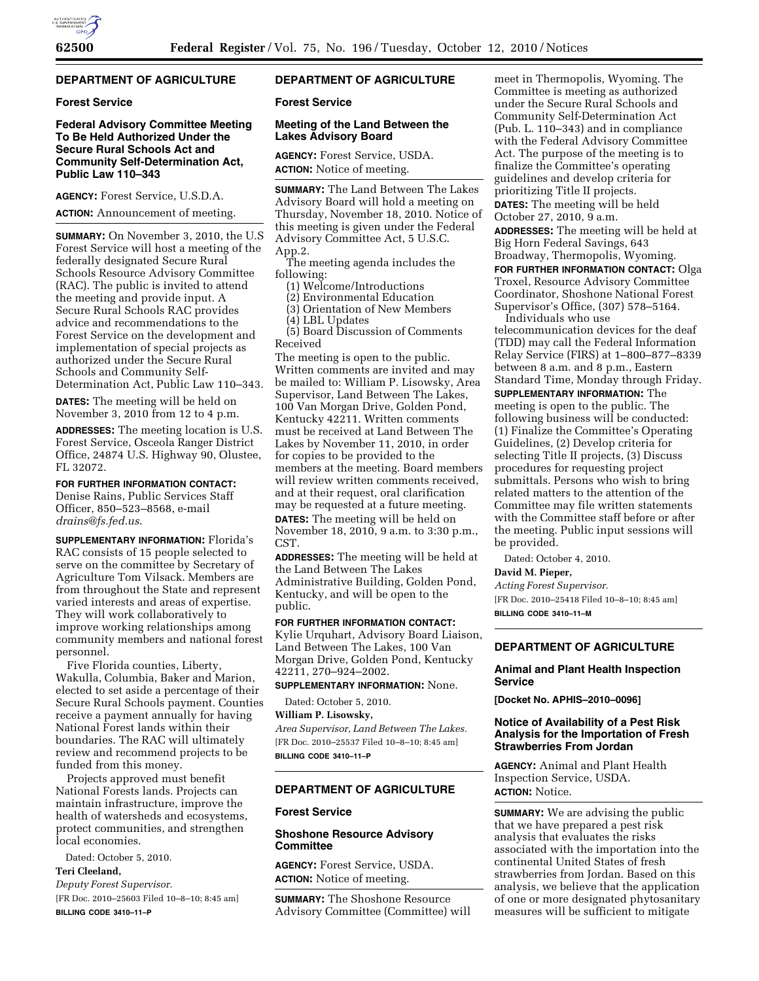# **DEPARTMENT OF AGRICULTURE**

## **Forest Service**

# **Federal Advisory Committee Meeting To Be Held Authorized Under the Secure Rural Schools Act and Community Self-Determination Act, Public Law 110–343**

**AGENCY:** Forest Service, U.S.D.A.

**ACTION:** Announcement of meeting.

**SUMMARY:** On November 3, 2010, the U.S Forest Service will host a meeting of the federally designated Secure Rural Schools Resource Advisory Committee (RAC). The public is invited to attend the meeting and provide input. A Secure Rural Schools RAC provides advice and recommendations to the Forest Service on the development and implementation of special projects as authorized under the Secure Rural Schools and Community Self-Determination Act, Public Law 110–343.

**DATES:** The meeting will be held on November 3, 2010 from 12 to 4 p.m.

**ADDRESSES:** The meeting location is U.S. Forest Service, Osceola Ranger District Office, 24874 U.S. Highway 90, Olustee, FL 32072.

**FOR FURTHER INFORMATION CONTACT:**  Denise Rains, Public Services Staff Officer, 850–523–8568, e-mail *[drains@fs.fed.us](mailto:drains@fs.fed.us)*.

**SUPPLEMENTARY INFORMATION:** Florida's RAC consists of 15 people selected to serve on the committee by Secretary of Agriculture Tom Vilsack. Members are from throughout the State and represent varied interests and areas of expertise. They will work collaboratively to improve working relationships among community members and national forest personnel.

Five Florida counties, Liberty, Wakulla, Columbia, Baker and Marion, elected to set aside a percentage of their Secure Rural Schools payment. Counties receive a payment annually for having National Forest lands within their boundaries. The RAC will ultimately review and recommend projects to be funded from this money.

Projects approved must benefit National Forests lands. Projects can maintain infrastructure, improve the health of watersheds and ecosystems, protect communities, and strengthen local economies.

Dated: October 5, 2010.

**Teri Cleeland,** 

*Deputy Forest Supervisor.* 

[FR Doc. 2010–25603 Filed 10–8–10; 8:45 am] **BILLING CODE 3410–11–P** 

# **DEPARTMENT OF AGRICULTURE**

# **Forest Service**

# **Meeting of the Land Between the Lakes Advisory Board**

**AGENCY:** Forest Service, USDA. **ACTION:** Notice of meeting.

**SUMMARY:** The Land Between The Lakes Advisory Board will hold a meeting on Thursday, November 18, 2010. Notice of this meeting is given under the Federal Advisory Committee Act, 5 U.S.C. App.2.

The meeting agenda includes the following:

(1) Welcome/Introductions

(2) Environmental Education

(3) Orientation of New Members

(4) LBL Updates

(5) Board Discussion of Comments Received

The meeting is open to the public. Written comments are invited and may be mailed to: William P. Lisowsky, Area Supervisor, Land Between The Lakes, 100 Van Morgan Drive, Golden Pond, Kentucky 42211. Written comments must be received at Land Between The Lakes by November 11, 2010, in order for copies to be provided to the members at the meeting. Board members will review written comments received, and at their request, oral clarification may be requested at a future meeting. **DATES:** The meeting will be held on November 18, 2010, 9 a.m. to 3:30 p.m., CST.

**ADDRESSES:** The meeting will be held at the Land Between The Lakes Administrative Building, Golden Pond, Kentucky, and will be open to the public.

**FOR FURTHER INFORMATION CONTACT:**  Kylie Urquhart, Advisory Board Liaison, Land Between The Lakes, 100 Van Morgan Drive, Golden Pond, Kentucky 42211, 270–924–2002.

**SUPPLEMENTARY INFORMATION:** None.

Dated: October 5, 2010.

**William P. Lisowsky,** 

*Area Supervisor, Land Between The Lakes.*  [FR Doc. 2010–25537 Filed 10–8–10; 8:45 am] **BILLING CODE 3410–11–P** 

# **DEPARTMENT OF AGRICULTURE**

# **Forest Service**

## **Shoshone Resource Advisory Committee**

**AGENCY:** Forest Service, USDA. **ACTION:** Notice of meeting.

**SUMMARY:** The Shoshone Resource Advisory Committee (Committee) will

meet in Thermopolis, Wyoming. The Committee is meeting as authorized under the Secure Rural Schools and Community Self-Determination Act (Pub. L. 110–343) and in compliance with the Federal Advisory Committee Act. The purpose of the meeting is to finalize the Committee's operating guidelines and develop criteria for prioritizing Title II projects. **DATES:** The meeting will be held

October 27, 2010, 9 a.m.

**ADDRESSES:** The meeting will be held at Big Horn Federal Savings, 643 Broadway, Thermopolis, Wyoming.

**FOR FURTHER INFORMATION CONTACT:** Olga Troxel, Resource Advisory Committee Coordinator, Shoshone National Forest Supervisor's Office, (307) 578–5164. Individuals who use

telecommunication devices for the deaf (TDD) may call the Federal Information Relay Service (FIRS) at 1–800–877–8339 between 8 a.m. and 8 p.m., Eastern Standard Time, Monday through Friday.

**SUPPLEMENTARY INFORMATION:** The meeting is open to the public. The following business will be conducted: (1) Finalize the Committee's Operating Guidelines, (2) Develop criteria for selecting Title II projects, (3) Discuss procedures for requesting project submittals. Persons who wish to bring related matters to the attention of the Committee may file written statements with the Committee staff before or after the meeting. Public input sessions will be provided.

Dated: October 4, 2010.

#### **David M. Pieper,**

*Acting Forest Supervisor.*  [FR Doc. 2010–25418 Filed 10–8–10; 8:45 am] **BILLING CODE 3410–11–M** 

**DEPARTMENT OF AGRICULTURE** 

### **Animal and Plant Health Inspection Service**

**[Docket No. APHIS–2010–0096]** 

## **Notice of Availability of a Pest Risk Analysis for the Importation of Fresh Strawberries From Jordan**

**AGENCY:** Animal and Plant Health Inspection Service, USDA. **ACTION:** Notice.

**SUMMARY:** We are advising the public that we have prepared a pest risk analysis that evaluates the risks associated with the importation into the continental United States of fresh strawberries from Jordan. Based on this analysis, we believe that the application of one or more designated phytosanitary measures will be sufficient to mitigate